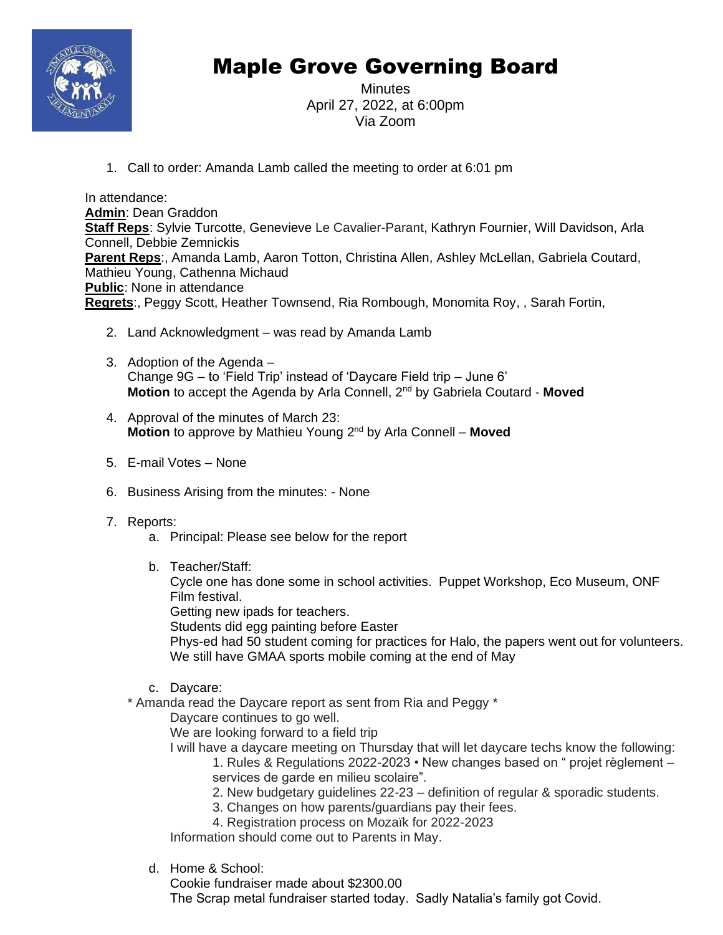

# Maple Grove Governing Board

Minutes April 27, 2022, at 6:00pm Via Zoom

1. Call to order: Amanda Lamb called the meeting to order at 6:01 pm

In attendance: **Admin**: Dean Graddon **Staff Reps**: Sylvie Turcotte, Genevieve Le Cavalier-Parant, Kathryn Fournier, Will Davidson, Arla Connell, Debbie Zemnickis **Parent Reps**:, Amanda Lamb, Aaron Totton, Christina Allen, Ashley McLellan, Gabriela Coutard, Mathieu Young, Cathenna Michaud **Public**: None in attendance **Regrets**:, Peggy Scott, Heather Townsend, Ria Rombough, Monomita Roy, , Sarah Fortin,

- 2. Land Acknowledgment was read by Amanda Lamb
- 3. Adoption of the Agenda Change 9G – to 'Field Trip' instead of 'Daycare Field trip – June 6' **Motion** to accept the Agenda by Arla Connell, 2<sup>nd</sup> by Gabriela Coutard - Moved
- 4. Approval of the minutes of March 23: **Motion** to approve by Mathieu Young 2<sup>nd</sup> by Arla Connell – Moved
- 5. E-mail Votes None
- 6. Business Arising from the minutes: None
- 7. Reports:
	- a. Principal: Please see below for the report
	- b. Teacher/Staff:

Cycle one has done some in school activities. Puppet Workshop, Eco Museum, ONF Film festival.

Getting new ipads for teachers.

Students did egg painting before Easter

Phys-ed had 50 student coming for practices for Halo, the papers went out for volunteers. We still have GMAA sports mobile coming at the end of May

- c. Daycare:
- \* Amanda read the Daycare report as sent from Ria and Peggy \*

Daycare continues to go well.

We are looking forward to a field trip

I will have a daycare meeting on Thursday that will let daycare techs know the following:

1. Rules & Regulations 2022-2023 • New changes based on " projet règlement – services de garde en milieu scolaire".

- 2. New budgetary guidelines 22-23 definition of regular & sporadic students.
- 3. Changes on how parents/guardians pay their fees.
- 4. Registration process on Mozaïk for 2022-2023

Information should come out to Parents in May.

d. Home & School:

Cookie fundraiser made about \$2300.00 The Scrap metal fundraiser started today. Sadly Natalia's family got Covid.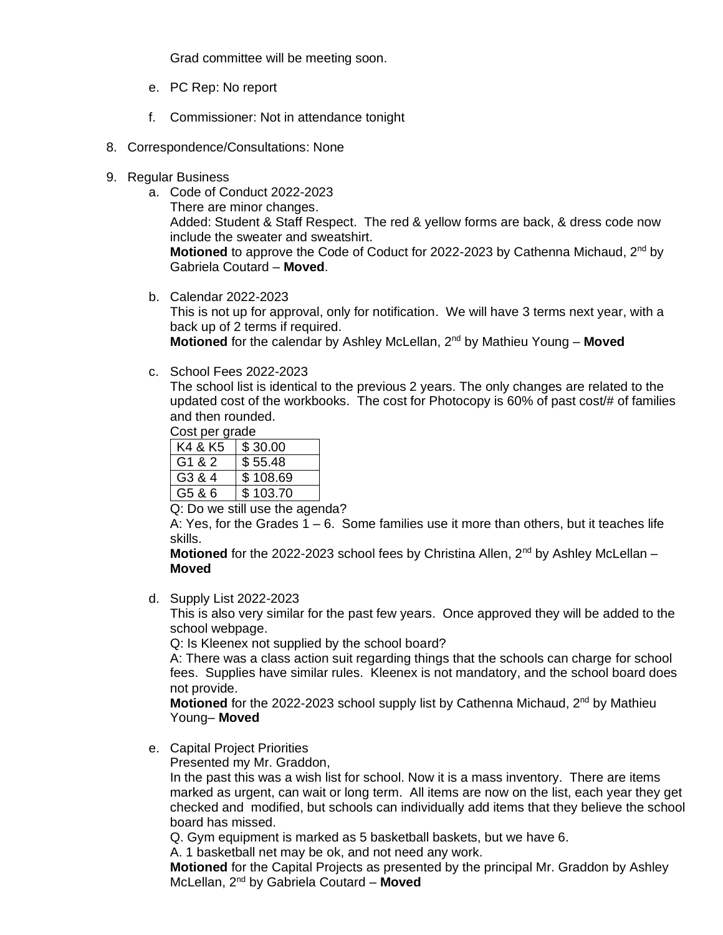Grad committee will be meeting soon.

- e. PC Rep: No report
- f. Commissioner: Not in attendance tonight
- 8. Correspondence/Consultations: None
- 9. Regular Business
	- a. Code of Conduct 2022-2023 There are minor changes. Added: Student & Staff Respect. The red & yellow forms are back, & dress code now include the sweater and sweatshirt. Motioned to approve the Code of Coduct for 2022-2023 by Cathenna Michaud, 2<sup>nd</sup> by Gabriela Coutard – **Moved**.
	- b. Calendar 2022-2023

This is not up for approval, only for notification. We will have 3 terms next year, with a back up of 2 terms if required. **Motioned** for the calendar by Ashley McLellan, 2<sup>nd</sup> by Mathieu Young – Moved

c. School Fees 2022-2023

The school list is identical to the previous 2 years. The only changes are related to the updated cost of the workbooks. The cost for Photocopy is 60% of past cost/# of families and then rounded.

Cost per grade

K4 & K5  $\frac{1}{3}$  \$ 30.00 G1 & 2  $\parallel$  \$55.48  $G3 8 4$   $\frac{1}{3}$  108.69  $G5 86$   $\frac{1}{3}$  103.70

Q: Do we still use the agenda?

A: Yes, for the Grades  $1 - 6$ . Some families use it more than others, but it teaches life skills.

**Motioned** for the 2022-2023 school fees by Christina Allen, 2<sup>nd</sup> by Ashley McLellan – **Moved**

d. Supply List 2022-2023

This is also very similar for the past few years. Once approved they will be added to the school webpage.

Q: Is Kleenex not supplied by the school board?

A: There was a class action suit regarding things that the schools can charge for school fees. Supplies have similar rules. Kleenex is not mandatory, and the school board does not provide.

**Motioned** for the 2022-2023 school supply list by Cathenna Michaud, 2<sup>nd</sup> by Mathieu Young– **Moved**

e. Capital Project Priorities

Presented my Mr. Graddon,

In the past this was a wish list for school. Now it is a mass inventory. There are items marked as urgent, can wait or long term. All items are now on the list, each year they get checked and modified, but schools can individually add items that they believe the school board has missed.

Q. Gym equipment is marked as 5 basketball baskets, but we have 6.

A. 1 basketball net may be ok, and not need any work.

**Motioned** for the Capital Projects as presented by the principal Mr. Graddon by Ashley McLellan, 2nd by Gabriela Coutard – **Moved**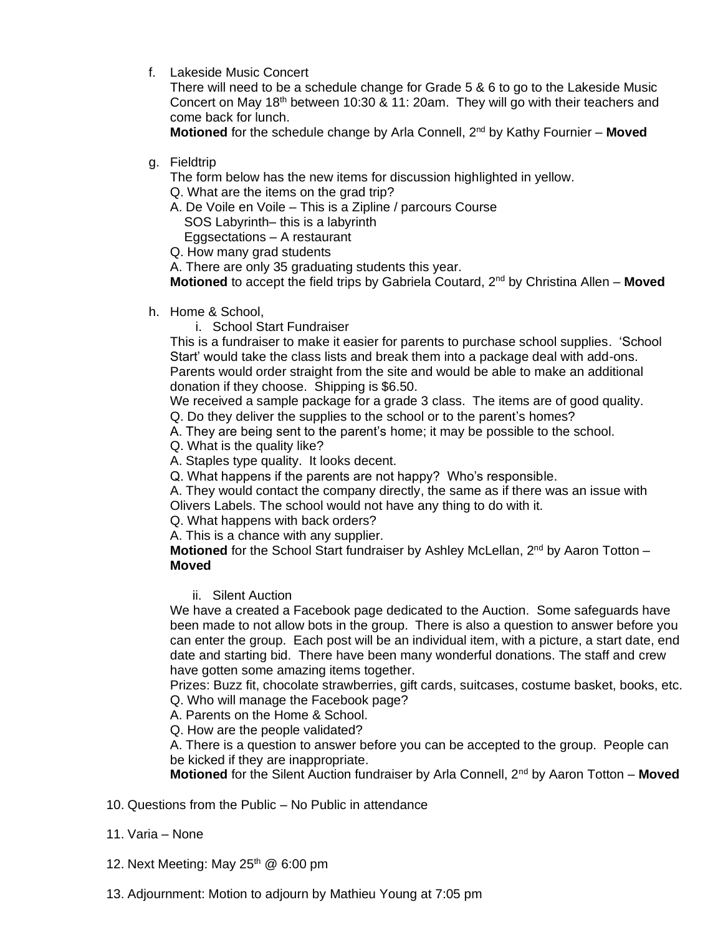f. Lakeside Music Concert

There will need to be a schedule change for Grade 5 & 6 to go to the Lakeside Music Concert on May 18th between 10:30 & 11: 20am. They will go with their teachers and come back for lunch.

**Motioned** for the schedule change by Arla Connell, 2<sup>nd</sup> by Kathy Fournier – Moved

g. Fieldtrip

The form below has the new items for discussion highlighted in yellow.

Q. What are the items on the grad trip?

A. De Voile en Voile – This is a Zipline / parcours Course

SOS Labyrinth– this is a labyrinth

Eggsectations – A restaurant

Q. How many grad students

A. There are only 35 graduating students this year.

**Motioned** to accept the field trips by Gabriela Coutard, 2nd by Christina Allen – **Moved**

h. Home & School,

i. School Start Fundraiser

This is a fundraiser to make it easier for parents to purchase school supplies. 'School Start' would take the class lists and break them into a package deal with add-ons. Parents would order straight from the site and would be able to make an additional donation if they choose. Shipping is \$6.50.

We received a sample package for a grade 3 class. The items are of good quality.

Q. Do they deliver the supplies to the school or to the parent's homes?

A. They are being sent to the parent's home; it may be possible to the school.

Q. What is the quality like?

A. Staples type quality. It looks decent.

Q. What happens if the parents are not happy? Who's responsible.

A. They would contact the company directly, the same as if there was an issue with Olivers Labels. The school would not have any thing to do with it.

Q. What happens with back orders?

A. This is a chance with any supplier.

**Motioned** for the School Start fundraiser by Ashley McLellan, 2<sup>nd</sup> by Aaron Totton – **Moved**

ii. Silent Auction

We have a created a Facebook page dedicated to the Auction. Some safeguards have been made to not allow bots in the group. There is also a question to answer before you can enter the group. Each post will be an individual item, with a picture, a start date, end date and starting bid. There have been many wonderful donations. The staff and crew have gotten some amazing items together.

Prizes: Buzz fit, chocolate strawberries, gift cards, suitcases, costume basket, books, etc. Q. Who will manage the Facebook page?

A. Parents on the Home & School.

Q. How are the people validated?

A. There is a question to answer before you can be accepted to the group. People can be kicked if they are inappropriate.

**Motioned** for the Silent Auction fundraiser by Arla Connell, 2<sup>nd</sup> by Aaron Totton – **Moved** 

- 10. Questions from the Public No Public in attendance
- 11. Varia None
- 12. Next Meeting: May 25<sup>th</sup> @ 6:00 pm
- 13. Adjournment: Motion to adjourn by Mathieu Young at 7:05 pm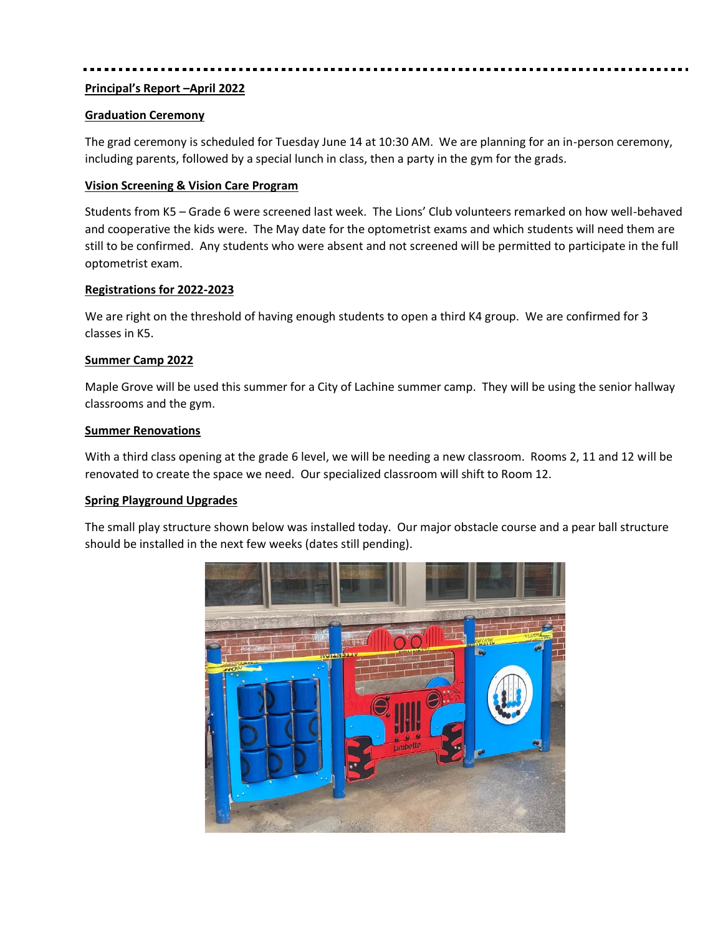# **Principal's Report –April 2022**

## **Graduation Ceremony**

The grad ceremony is scheduled for Tuesday June 14 at 10:30 AM. We are planning for an in-person ceremony, including parents, followed by a special lunch in class, then a party in the gym for the grads.

# **Vision Screening & Vision Care Program**

Students from K5 – Grade 6 were screened last week. The Lions' Club volunteers remarked on how well-behaved and cooperative the kids were. The May date for the optometrist exams and which students will need them are still to be confirmed. Any students who were absent and not screened will be permitted to participate in the full optometrist exam.

### **Registrations for 2022-2023**

We are right on the threshold of having enough students to open a third K4 group. We are confirmed for 3 classes in K5.

# **Summer Camp 2022**

Maple Grove will be used this summer for a City of Lachine summer camp. They will be using the senior hallway classrooms and the gym.

### **Summer Renovations**

With a third class opening at the grade 6 level, we will be needing a new classroom. Rooms 2, 11 and 12 will be renovated to create the space we need. Our specialized classroom will shift to Room 12.

### **Spring Playground Upgrades**

The small play structure shown below was installed today. Our major obstacle course and a pear ball structure should be installed in the next few weeks (dates still pending).